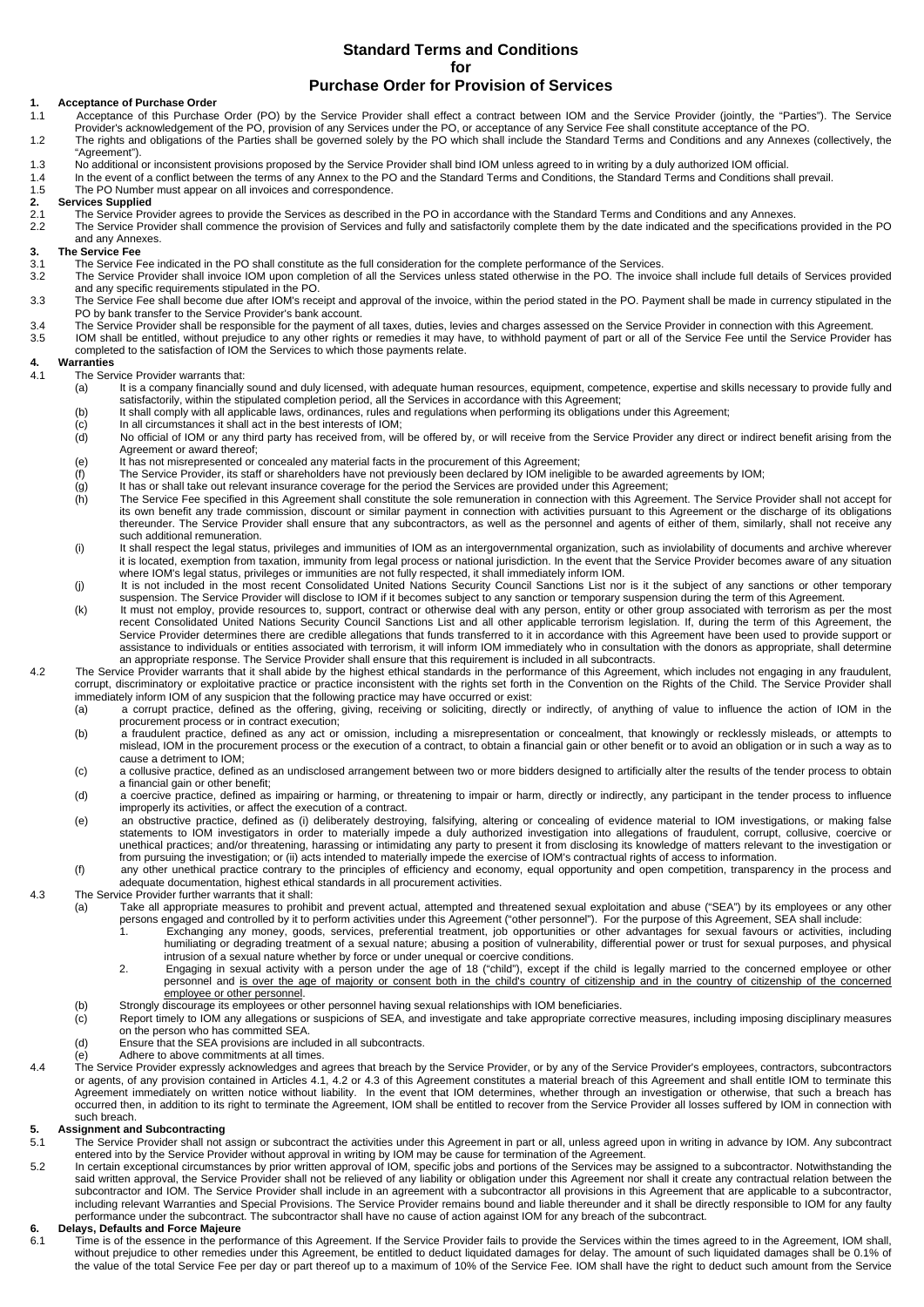**Standard Terms and Conditions** 

### **for**

### **Purchase Order for Provision of Services**

#### **1. Acceptance of Purchase Order**

- 1.1 Acceptance of this Purchase Order (PO) by the Service Provider shall effect a contract between IOM and the Service Provider (jointly, the "Parties"). The Service<br>Provider's acknowledgement of the PO, provision of any S 1.2 The rights and obligations of the Parties shall be governed solely by the PO which shall include the Standard Terms and Conditions and any Annexes (collectively, the
- "Agreement").
- 1.3 No additional or inconsistent provisions proposed by the Service Provider shall bind IOM unless agreed to in writing by a duly authorized IOM official.<br>1.4 In the event of a conflict between the terms of any Annex to t In the event of a conflict between the terms of any Annex to the PO and the Standard Terms and Conditions, the Standard Terms and Conditions shall prevail.
- 1.5 The PO Number must appear on all invoices and correspondence.

## **2. Services Supplied**

- 2.1 The Service Provider agrees to provide the Services as described in the PO in accordance with the Standard Terms and Conditions and any Annexes.<br>2.2 The Service Provider shall commence the provision of Services and ful
- 2.2 The Service Provider shall commence the provision of Services and fully and satisfactorily complete them by the date indicated and the specifications provided in the PO and any Annexes.

## **3. The Service Fee**

- 3.1 The Service Fee indicated in the PO shall constitute as the full consideration for the complete performance of the Services.<br>3.2 The Service Provider shall invoice IOM upon completion of all the Services unless stated
- The Service Provider shall invoice IOM upon completion of all the Services unless stated otherwise in the PO. The invoice shall include full details of Services provided and any specific requirements stipulated in the PO.
- 3.3 The Service Fee shall become due after IOM's receipt and approval of the invoice, within the period stated in the PO. Payment shall be made in currency stipulated in the PO by bank transfer to the Service Provider's bank account.
- 3.4 The Service Provider shall be responsible for the payment of all taxes, duties, levies and charges assessed on the Service Provider in connection with this Agreement.<br>3.5 IOM shall be entitled without prejudice to any
- 3.5 IOM shall be entitled, without prejudice to any other rights or remedies it may have, to withhold payment of part or all of the Service Fee until the Service Provider has completed to the satisfaction of IOM the Services to which those payments relate.

## **4. Warranties**

- The Service Provider warrants that:<br>(a) It is a company financially
	- It is a company financially sound and duly licensed, with adequate human resources, equipment, competence, expertise and skills necessary to provide fully and satisfactorily, within the stipulated completion period, all the Services in accordance with this Agreement;
	- (b) It shall comply with all applicable laws, ordinances, rules and regulations when performing its obligations under this Agreement;
	- (c) In all circumstances it shall act in the best interests of IOM;<br>(d) No official of IOM or any third party has received from. will
	- No official of IOM or any third party has received from, will be offered by, or will receive from the Service Provider any direct or indirect benefit arising from the North party has received from, will be offered by, or w Agreement or award thereof;
	- (e) It has not misrepresented or concealed any material facts in the procurement of this Agreement;<br>(f) The Service Provider, its staff or shareholders have not previously been declared by IOM ineligit)
	- $\hat{f}(t)$  The Service Provider, its staff or shareholders have not previously been declared by IOM ineligible to be awarded agreements by IOM;<br>(g) It has or shall take out relevant insurance coverage for the period the Se
	- It has or shall take out relevant insurance coverage for the period the Services are provided under this Agreement;
	- (h) The Service Fee specified in this Agreement shall constitute the sole remuneration in connection with this Agreement. The Service Provider shall not accept for its own benefit any trade commission, discount or similar payment in connection with activities pursuant to this Agreement or the discharge of its obligations<br>thereunder. The Service Provider shall ensure that any subcontr such additional remuneration.
	- (i) It shall respect the legal status, privileges and immunities of IOM as an intergovernmental organization, such as inviolability of documents and archive wherever it is located, exemption from taxation, immunity from legal process or national jurisdiction. In the event that the Service Provider becomes aware of any situation where IOM's legal status, privileges or immunities are not fully respected, it shall immediately inform IOM.
	- (j) It is not included in the most recent Consolidated United Nations Security Council Sanctions List nor is it the subject of any sanctions or other temporary suspension. The Service Provider will disclose to IOM if it becomes subject to any sanction or temporary suspension during the term of this Agreement.
	- k) It must not employ, provide resources to, support, contract or otherwise deal with any person, entity or other group associated with terrorism as per the most<br>recent Consolidated United Nations Security Council Sanction Service Provider determines there are credible allegations that funds transferred to it in accordance with this Agreement have been used to provide support or assistance to individuals or entities associated with terrorism, it will inform IOM immediately who in consultation with the donors as appropriate, shall determine<br>an appropriate response. The Service Provider shall ensure
- The Service Provider warrants that it shall abide by the highest ethical standards in the performance of this Agreement, which includes not engaging in any fraudulent,<br>corrupt, discriminatory or exploitative practice or pr immediately inform IOM of any suspicion that the following practice may have occurred or exist:
	- (a) a corrupt practice, defined as the offering, giving, receiving or soliciting, directly or indirectly, of anything of value to influence the action of IOM in the procurement process or in contract execution;
	- (b) a fraudulent practice, defined as any act or omission, including a misrepresentation or concealment, that knowingly or recklessly misleads, or attempts to mislead, IOM in the procurement process or the execution of a contract, to obtain a financial gain or other benefit or to avoid an obligation or in such a way as to cause a detriment to IOM;
	- (c) a collusive practice, defined as an undisclosed arrangement between two or more bidders designed to artificially alter the results of the tender process to obtain a financial gain or other benefit;
	- (d) a coercive practice, defined as impairing or harming, or threatening to impair or harm, directly or indirectly, any participant in the tender process to influence
	- improperly its activities, or affect the execution of a contract.<br>(e) an obstructive practice, defined as (i) deliberately destroying, falsifying, altering or concealing of evidence material to IOM investigations, or makin statements to IOM investigators in order to materially impede a duly authorized investigation into allegations of fraudulent, corrupt, collusive, coercive or unethical practices; and/or threatening, harassing or intimidating any party to present it from disclosing its knowledge of matters relevant to the investigation or from pursuing the investigation; or (ii) acts intended to materially impede the exercise of IOM's contractual rights of access to information.
	- (f) any other unethical practice contrary to the principles of efficiency and economy, equal opportunity and open competition, transparency in the process and adequate documentation, highest ethical standards in all procurement activities.

#### 4.3 The Service Provider further warrants that it shall:

- (a) Take all appropriate measures to prohibit and prevent actual, attempted and threatened sexual exploitation and abuse ("SEA") by its employees or any other persons engaged and controlled by it to perform activities under this Agreement ("other personnel"). For the purpose of this Agreement, SEA shall include:
	- 1. Exchanging any money, goods, services, preferential treatment, job opportunities or other advantages for sexual favours or activities, including humiliating or degrading treatment of a sexual nature; abusing a position of vulnerability, differential power or trust for sexual purposes, and physical intrusion of a sexual nature whether by force or under unequal or coercive conditions.
	- 2. Engaging in sexual activity with a person under the age of 18 ("child"), except if the child is legally married to the concerned employee or other<br>personnel and is over the age of majority or consent both in the child's employee or other personnel.
- (b) Strongly discourage its employees or other personnel having sexual relationships with IOM beneficiaries.<br>(c) Report timely to IOM any allegations or suspicions of SEA, and investigate and take appropriate correct
- Report timely to IOM any allegations or suspicions of SEA, and investigate and take appropriate corrective measures, including imposing disciplinary measures on the person who has committed SEA.
- (d) Ensure that the SEA provisions are included in all subcontracts.
- (e) Adhere to above commitments at all times.
- The Service Provider expressly acknowledges and agrees that breach by the Service Provider, or by any of the Service Provider's employees, contractors, subcontractors<br>or agents, of any provision contained in Articles 4.1, Agreement immediately on written notice without liability. In the event that IOM determines, whether through an investigation or otherwise, that such a breach has occurred then, in addition to its right to terminate the Agreement, IOM shall be entitled to recover from the Service Provider all losses suffered by IOM in connection with such breach.

#### **5. Assignment and Subcontracting**

- 5.1 The Service Provider shall not assign or subcontract the activities under this Agreement in part or all, unless agreed upon in writing in advance by IOM. Any subcontract entered into by the Service Provider without approval in writing by IOM may be cause for termination of the Agreement.
- 5.2 In certain exceptional circumstances by prior written approval of IOM, specific jobs and portions of the Services may be assigned to a subcontractor. Notwithstanding the said written approval, the Service Provider shall not be relieved of any liability or obligation under this Agreement nor shall it create any contractual relation between the<br>subcontractor and IOM. The Service Provider sha including relevant Warranties and Special Provisions. The Service Provider remains bound and liable thereunder and it shall be directly responsible to IOM for any faulty including relevant Warranties and Special Provisions performance under the subcontract. The subcontractor shall have no cause of action against IOM for any breach of the subcontract.

#### **6. Delays, Defaults and Force Majeure**

6.1 Time is of the essence in the performance of this Agreement. If the Service Provider fails to provide the Services within the times agreed to in the Agreement, IOM shall, without prejudice to other remedies under this Agreement, be entitled to deduct liquidated damages for delay. The amount of such liquidated damages shall be 0.1% of the value of the total Service Fee per day or part thereof up to a maximum of 10% of the Service Fee. IOM shall have the right to deduct such amount from the Service